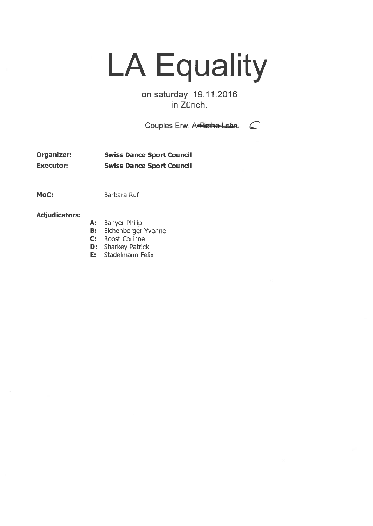## LA Equality

on saturday, 19.11.2016 in Zürich.

Couples Erw. A-Reiho-Latin. C

Organizer: Swiss Dance Sport Council Executor: Swiss Dance Sport Council

MoC: Barbara Ruf

## Adjudicators:

- A: Banyer Philip
- B: Eichenberger Yvonne
- C: Roost Corinne
- D: Sharkey Patrick
- E: Stadelmann Felix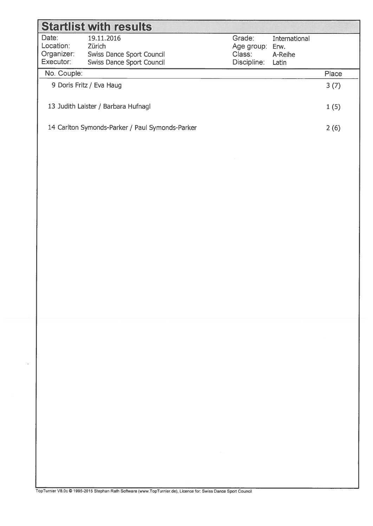| <b>Startlist with results</b>                   |                                       |             |         |  |  |  |  |  |  |
|-------------------------------------------------|---------------------------------------|-------------|---------|--|--|--|--|--|--|
| Date:                                           | 19.11.2016<br>Grade:<br>International |             |         |  |  |  |  |  |  |
| Location:                                       | Zürich<br>Age group:<br>Erw.          |             |         |  |  |  |  |  |  |
| Organizer:                                      | Swiss Dance Sport Council             | Class:      | A-Reihe |  |  |  |  |  |  |
| Executor:                                       | <b>Swiss Dance Sport Council</b>      | Discipline: | Latin   |  |  |  |  |  |  |
| No. Couple:                                     |                                       |             |         |  |  |  |  |  |  |
| 9 Doris Fritz / Eva Haug                        |                                       |             |         |  |  |  |  |  |  |
| 13 Judith Laister / Barbara Hufnagl             |                                       |             |         |  |  |  |  |  |  |
| 14 Carlton Symonds-Parker / Paul Symonds-Parker |                                       |             |         |  |  |  |  |  |  |
|                                                 |                                       |             |         |  |  |  |  |  |  |

opTurnier V8.Oc © 1995-2015 Stephan Rath Software (www.TopTurnier.de), Licence for: Swiss Dance Sport Councfl